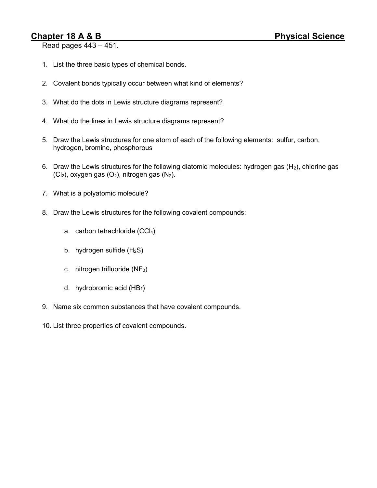## Chapter 18 A & B Physical Science

Read pages 443 – 451.

- 1. List the three basic types of chemical bonds.
- 2. Covalent bonds typically occur between what kind of elements?
- 3. What do the dots in Lewis structure diagrams represent?
- 4. What do the lines in Lewis structure diagrams represent?
- 5. Draw the Lewis structures for one atom of each of the following elements: sulfur, carbon, hydrogen, bromine, phosphorous
- 6. Draw the Lewis structures for the following diatomic molecules: hydrogen gas  $(H_2)$ , chlorine gas  $(CI<sub>2</sub>)$ , oxygen gas  $(O<sub>2</sub>)$ , nitrogen gas  $(N<sub>2</sub>)$ .
- 7. What is a polyatomic molecule?
- 8. Draw the Lewis structures for the following covalent compounds:
	- a. carbon tetrachloride (CCl4)
	- b. hydrogen sulfide  $(H_2S)$
	- c. nitrogen trifluoride  $(NF_3)$
	- d. hydrobromic acid (HBr)
- 9. Name six common substances that have covalent compounds.
- 10. List three properties of covalent compounds.